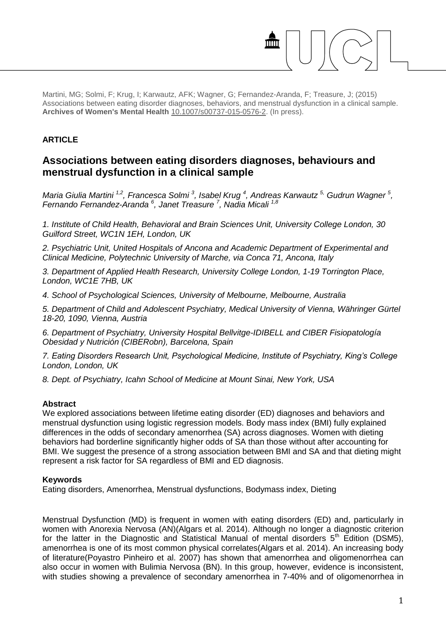Martini, MG; Solmi, F; Krug, I; Karwautz, AFK; Wagner, G; Fernandez-Aranda, F; Treasure, J; (2015) Associations between eating disorder diagnoses, behaviors, and menstrual dysfunction in a clinical sample. **Archives of Women's Mental Health** [10.1007/s00737-015-0576-2.](http://dx.doi.org/10.1007/s00737-015-0576-2) (In press).

## **ARTICLE**

# **Associations between eating disorders diagnoses, behaviours and menstrual dysfunction in a clinical sample**

Maria Giulia Martini <sup>1,2</sup>, Francesca Solmi <sup>3</sup>, Isabel Krug <sup>4</sup>, Andreas Karwautz <sup>5,</sup> Gudrun Wagner <sup>5</sup>, *Fernando Fernandez-Aranda <sup>6</sup> , Janet Treasure <sup>7</sup> , Nadia Micali 1,8*

*1. Institute of Child Health, Behavioral and Brain Sciences Unit, University College London, 30 Guilford Street, WC1N 1EH, London, UK* 

*2. Psychiatric Unit, United Hospitals of Ancona and Academic Department of Experimental and Clinical Medicine, Polytechnic University of Marche, via Conca 71, Ancona, Italy* 

*3. Department of Applied Health Research, University College London, 1-19 Torrington Place, London, WC1E 7HB, UK* 

*4. School of Psychological Sciences, University of Melbourne, Melbourne, Australia* 

*5. Department of Child and Adolescent Psychiatry, Medical University of Vienna, Währinger Gürtel 18-20, 1090, Vienna, Austria* 

*6. Department of Psychiatry, University Hospital Bellvitge-IDIBELL and CIBER Fisiopatología Obesidad y Nutrición (CIBERobn), Barcelona, Spain* 

*7. Eating Disorders Research Unit, Psychological Medicine, Institute of Psychiatry, King's College London, London, UK* 

*8. Dept. of Psychiatry, Icahn School of Medicine at Mount Sinai, New York, USA* 

## **Abstract**

We explored associations between lifetime eating disorder (ED) diagnoses and behaviors and menstrual dysfunction using logistic regression models. Body mass index (BMI) fully explained differences in the odds of secondary amenorrhea (SA) across diagnoses. Women with dieting behaviors had borderline significantly higher odds of SA than those without after accounting for BMI. We suggest the presence of a strong association between BMI and SA and that dieting might represent a risk factor for SA regardless of BMI and ED diagnosis.

## **Keywords**

Eating disorders, Amenorrhea, Menstrual dysfunctions, Bodymass index, Dieting

Menstrual Dysfunction (MD) is frequent in women with eating disorders (ED) and, particularly in women with Anorexia Nervosa (AN)(Algars et al. 2014). Although no longer a diagnostic criterion for the latter in the Diagnostic and Statistical Manual of mental disorders  $5<sup>th</sup>$  Edition (DSM5), amenorrhea is one of its most common physical correlates(Algars et al. 2014). An increasing body of literature(Poyastro Pinheiro et al. 2007) has shown that amenorrhea and oligomenorrhea can also occur in women with Bulimia Nervosa (BN). In this group, however, evidence is inconsistent, with studies showing a prevalence of secondary amenorrhea in 7-40% and of oligomenorrhea in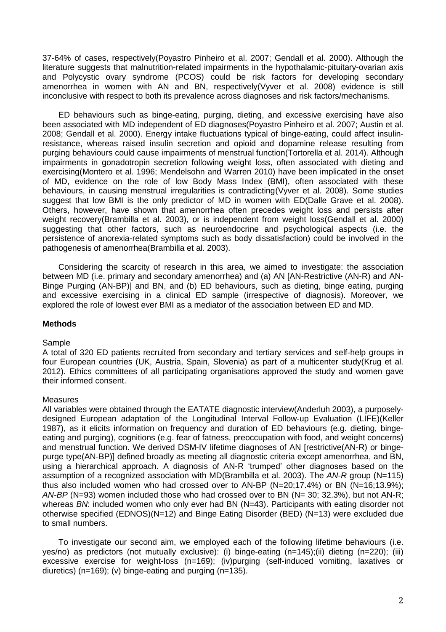37-64% of cases, respectively(Poyastro Pinheiro et al. 2007; Gendall et al. 2000). Although the literature suggests that malnutrition-related impairments in the hypothalamic-pituitary-ovarian axis and Polycystic ovary syndrome (PCOS) could be risk factors for developing secondary amenorrhea in women with AN and BN, respectively(Vyver et al. 2008) evidence is still inconclusive with respect to both its prevalence across diagnoses and risk factors/mechanisms.

ED behaviours such as binge-eating, purging, dieting, and excessive exercising have also been associated with MD independent of ED diagnoses(Poyastro Pinheiro et al. 2007; Austin et al. 2008; Gendall et al. 2000). Energy intake fluctuations typical of binge-eating, could affect insulinresistance, whereas raised insulin secretion and opioid and dopamine release resulting from purging behaviours could cause impairments of menstrual function(Tortorella et al. 2014). Although impairments in gonadotropin secretion following weight loss, often associated with dieting and exercising(Montero et al. 1996; Mendelsohn and Warren 2010) have been implicated in the onset of MD, evidence on the role of low Body Mass Index (BMI), often associated with these behaviours, in causing menstrual irregularities is contradicting(Vyver et al. 2008). Some studies suggest that low BMI is the only predictor of MD in women with ED(Dalle Grave et al. 2008). Others, however, have shown that amenorrhea often precedes weight loss and persists after weight recovery(Brambilla et al. 2003), or is independent from weight loss(Gendall et al. 2000) suggesting that other factors, such as neuroendocrine and psychological aspects (i.e. the persistence of anorexia-related symptoms such as body dissatisfaction) could be involved in the pathogenesis of amenorrhea(Brambilla et al. 2003).

Considering the scarcity of research in this area, we aimed to investigate: the association between MD (i.e. primary and secondary amenorrhea) and (a) AN [AN-Restrictive (AN-R) and AN-Binge Purging (AN-BP)] and BN, and (b) ED behaviours, such as dieting, binge eating, purging and excessive exercising in a clinical ED sample (irrespective of diagnosis). Moreover, we explored the role of lowest ever BMI as a mediator of the association between ED and MD.

## **Methods**

## Sample

A total of 320 ED patients recruited from secondary and tertiary services and self-help groups in four European countries (UK, Austria, Spain, Slovenia) as part of a multicenter study(Krug et al. 2012). Ethics committees of all participating organisations approved the study and women gave their informed consent.

## **Measures**

All variables were obtained through the EATATE diagnostic interview(Anderluh 2003), a purposelydesigned European adaptation of the Longitudinal Interval Follow-up Evaluation (LIFE)(Keller 1987), as it elicits information on frequency and duration of ED behaviours (e.g. dieting, bingeeating and purging), cognitions (e.g. fear of fatness, preoccupation with food, and weight concerns) and menstrual function. We derived DSM-IV lifetime diagnoses of AN [restrictive(AN-R) or bingepurge type(AN-BP)] defined broadly as meeting all diagnostic criteria except amenorrhea, and BN, using a hierarchical approach. A diagnosis of AN-R 'trumped' other diagnoses based on the assumption of a recognized association with MD(Brambilla et al. 2003). The *AN-R* group (N=115) thus also included women who had crossed over to AN-BP (N=20;17.4%) or BN (N=16;13.9%); *AN-BP* (N=93) women included those who had crossed over to BN (N= 30; 32.3%), but not AN-R; whereas *BN*: included women who only ever had BN (N=43). Participants with eating disorder not otherwise specified (EDNOS)(N=12) and Binge Eating Disorder (BED) (N=13) were excluded due to small numbers.

To investigate our second aim, we employed each of the following lifetime behaviours (i.e. yes/no) as predictors (not mutually exclusive): (i) binge-eating (n=145);(ii) dieting (n=220); (iii) excessive exercise for weight-loss (n=169); (iv)purging (self-induced vomiting, laxatives or diuretics) (n=169); (v) binge-eating and purging (n=135).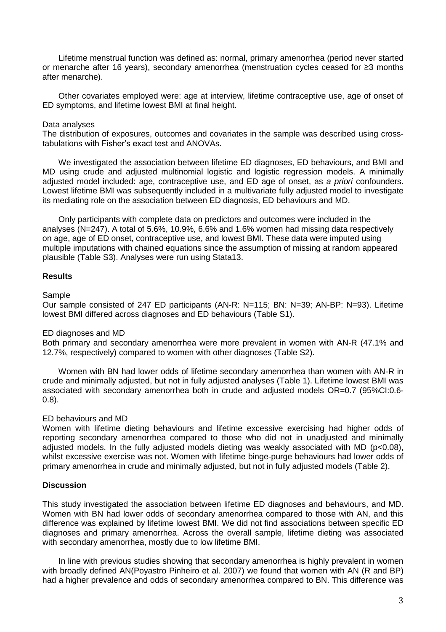Lifetime menstrual function was defined as: normal, primary amenorrhea (period never started or menarche after 16 years), secondary amenorrhea (menstruation cycles ceased for ≥3 months after menarche).

Other covariates employed were: age at interview, lifetime contraceptive use, age of onset of ED symptoms, and lifetime lowest BMI at final height.

## Data analyses

The distribution of exposures, outcomes and covariates in the sample was described using crosstabulations with Fisher's exact test and ANOVAs.

We investigated the association between lifetime ED diagnoses, ED behaviours, and BMI and MD using crude and adjusted multinomial logistic and logistic regression models. A minimally adjusted model included: age, contraceptive use, and ED age of onset, as *a priori* confounders. Lowest lifetime BMI was subsequently included in a multivariate fully adjusted model to investigate its mediating role on the association between ED diagnosis, ED behaviours and MD.

Only participants with complete data on predictors and outcomes were included in the analyses (N=247). A total of 5.6%, 10.9%, 6.6% and 1.6% women had missing data respectively on age, age of ED onset, contraceptive use, and lowest BMI. These data were imputed using multiple imputations with chained equations since the assumption of missing at random appeared plausible (Table S3). Analyses were run using Stata13.

## **Results**

#### Sample

Our sample consisted of 247 ED participants (AN-R: N=115; BN: N=39; AN-BP: N=93). Lifetime lowest BMI differed across diagnoses and ED behaviours (Table S1).

## ED diagnoses and MD

Both primary and secondary amenorrhea were more prevalent in women with AN-R (47.1% and 12.7%, respectively) compared to women with other diagnoses (Table S2).

Women with BN had lower odds of lifetime secondary amenorrhea than women with AN-R in crude and minimally adjusted, but not in fully adjusted analyses (Table 1). Lifetime lowest BMI was associated with secondary amenorrhea both in crude and adjusted models OR=0.7 (95%CI:0.6- 0.8).

## ED behaviours and MD

Women with lifetime dieting behaviours and lifetime excessive exercising had higher odds of reporting secondary amenorrhea compared to those who did not in unadjusted and minimally adjusted models. In the fully adjusted models dieting was weakly associated with MD (p<0.08), whilst excessive exercise was not. Women with lifetime binge-purge behaviours had lower odds of primary amenorrhea in crude and minimally adjusted, but not in fully adjusted models (Table 2).

## **Discussion**

This study investigated the association between lifetime ED diagnoses and behaviours, and MD. Women with BN had lower odds of secondary amenorrhea compared to those with AN, and this difference was explained by lifetime lowest BMI. We did not find associations between specific ED diagnoses and primary amenorrhea. Across the overall sample, lifetime dieting was associated with secondary amenorrhea, mostly due to low lifetime BMI.

In line with previous studies showing that secondary amenorrhea is highly prevalent in women with broadly defined AN(Poyastro Pinheiro et al. 2007) we found that women with AN (R and BP) had a higher prevalence and odds of secondary amenorrhea compared to BN. This difference was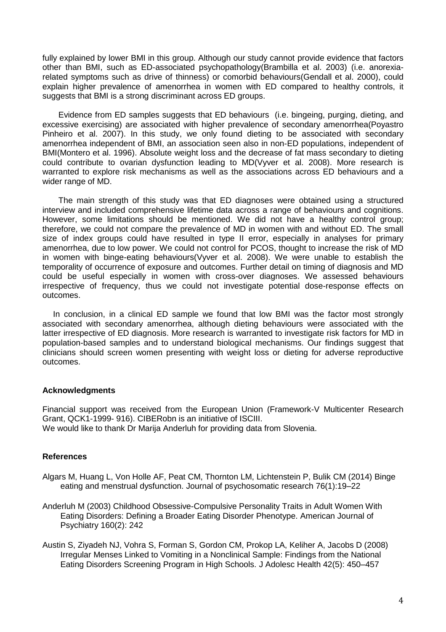fully explained by lower BMI in this group. Although our study cannot provide evidence that factors other than BMI, such as ED-associated psychopathology(Brambilla et al. 2003) (i.e. anorexiarelated symptoms such as drive of thinness) or comorbid behaviours(Gendall et al. 2000), could explain higher prevalence of amenorrhea in women with ED compared to healthy controls, it suggests that BMI is a strong discriminant across ED groups.

Evidence from ED samples suggests that ED behaviours (i.e. bingeing, purging, dieting, and excessive exercising) are associated with higher prevalence of secondary amenorrhea(Poyastro Pinheiro et al. 2007). In this study, we only found dieting to be associated with secondary amenorrhea independent of BMI, an association seen also in non-ED populations, independent of BMI(Montero et al. 1996). Absolute weight loss and the decrease of fat mass secondary to dieting could contribute to ovarian dysfunction leading to MD(Vyver et al. 2008). More research is warranted to explore risk mechanisms as well as the associations across ED behaviours and a wider range of MD.

The main strength of this study was that ED diagnoses were obtained using a structured interview and included comprehensive lifetime data across a range of behaviours and cognitions. However, some limitations should be mentioned. We did not have a healthy control group; therefore, we could not compare the prevalence of MD in women with and without ED. The small size of index groups could have resulted in type II error, especially in analyses for primary amenorrhea, due to low power. We could not control for PCOS, thought to increase the risk of MD in women with binge-eating behaviours(Vyver et al. 2008). We were unable to establish the temporality of occurrence of exposure and outcomes. Further detail on timing of diagnosis and MD could be useful especially in women with cross-over diagnoses. We assessed behaviours irrespective of frequency, thus we could not investigate potential dose-response effects on outcomes.

In conclusion, in a clinical ED sample we found that low BMI was the factor most strongly associated with secondary amenorrhea, although dieting behaviours were associated with the latter irrespective of ED diagnosis. More research is warranted to investigate risk factors for MD in population-based samples and to understand biological mechanisms. Our findings suggest that clinicians should screen women presenting with weight loss or dieting for adverse reproductive outcomes.

## **Acknowledgments**

Financial support was received from the European Union (Framework-V Multicenter Research Grant, QCK1-1999- 916). CIBERobn is an initiative of ISCIII. We would like to thank Dr Marija Anderluh for providing data from Slovenia.

## **References**

- Algars M, Huang L, Von Holle AF, Peat CM, Thornton LM, Lichtenstein P, Bulik CM (2014) Binge eating and menstrual dysfunction. Journal of psychosomatic research 76(1):19–22
- Anderluh M (2003) Childhood Obsessive-Compulsive Personality Traits in Adult Women With Eating Disorders: Defining a Broader Eating Disorder Phenotype. American Journal of Psychiatry 160(2): 242
- Austin S, Ziyadeh NJ, Vohra S, Forman S, Gordon CM, Prokop LA, Keliher A, Jacobs D (2008) Irregular Menses Linked to Vomiting in a Nonclinical Sample: Findings from the National Eating Disorders Screening Program in High Schools. J Adolesc Health 42(5): 450–457